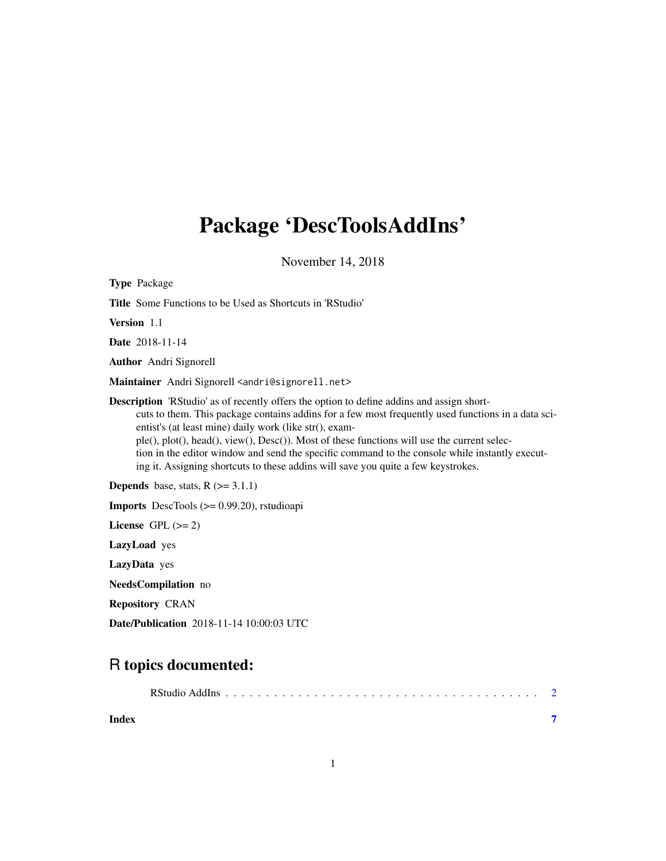# <span id="page-0-0"></span>Package 'DescToolsAddIns'

November 14, 2018

| <b>Type Package</b>                                                                                                                                                                                                                                                                                                                                                                                                                                                                                                                                    |
|--------------------------------------------------------------------------------------------------------------------------------------------------------------------------------------------------------------------------------------------------------------------------------------------------------------------------------------------------------------------------------------------------------------------------------------------------------------------------------------------------------------------------------------------------------|
| <b>Title</b> Some Functions to be Used as Shortcuts in 'RStudio'                                                                                                                                                                                                                                                                                                                                                                                                                                                                                       |
| Version 1.1                                                                                                                                                                                                                                                                                                                                                                                                                                                                                                                                            |
| Date 2018-11-14                                                                                                                                                                                                                                                                                                                                                                                                                                                                                                                                        |
| <b>Author</b> Andri Signorell                                                                                                                                                                                                                                                                                                                                                                                                                                                                                                                          |
| Maintainer Andri Signorell <andri@signorell.net></andri@signorell.net>                                                                                                                                                                                                                                                                                                                                                                                                                                                                                 |
| <b>Description</b> 'RStudio' as of recently offers the option to define addins and assign short-<br>cuts to them. This package contains addins for a few most frequently used functions in a data sci-<br>entist's (at least mine) daily work (like str(), exam-<br>ple(), plot(), head(), view(), Desc()). Most of these functions will use the current selec-<br>tion in the editor window and send the specific command to the console while instantly execut-<br>ing it. Assigning shortcuts to these addins will save you quite a few keystrokes. |
| <b>Depends</b> base, stats, $R$ ( $>=$ 3.1.1)                                                                                                                                                                                                                                                                                                                                                                                                                                                                                                          |
| <b>Imports</b> DescTools $(>= 0.99.20)$ , rstudioapi                                                                                                                                                                                                                                                                                                                                                                                                                                                                                                   |
| License GPL $(>= 2)$                                                                                                                                                                                                                                                                                                                                                                                                                                                                                                                                   |
| LazyLoad yes                                                                                                                                                                                                                                                                                                                                                                                                                                                                                                                                           |
| LazyData yes                                                                                                                                                                                                                                                                                                                                                                                                                                                                                                                                           |
| <b>NeedsCompilation</b> no                                                                                                                                                                                                                                                                                                                                                                                                                                                                                                                             |
| <b>Repository CRAN</b>                                                                                                                                                                                                                                                                                                                                                                                                                                                                                                                                 |

Date/Publication 2018-11-14 10:00:03 UTC

# R topics documented:

|--|--|--|--|--|--|--|--|--|--|--|--|--|--|--|--|--|--|--|--|--|--|--|--|--|--|--|--|--|--|--|--|--|--|--|--|--|--|--|--|--|

**Index** [7](#page-6-0) **7**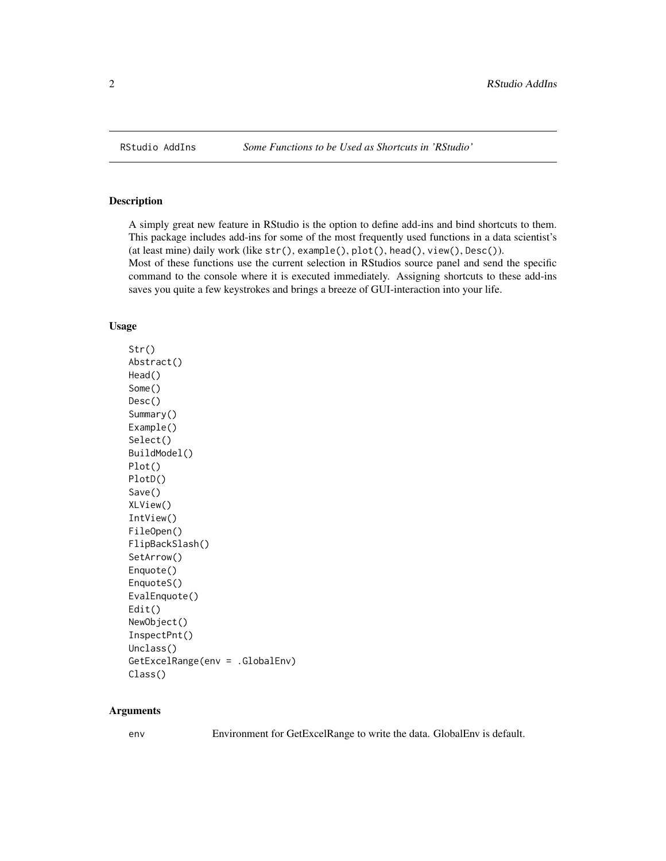<span id="page-1-0"></span>

#### <span id="page-1-1"></span>Description

A simply great new feature in RStudio is the option to define add-ins and bind shortcuts to them. This package includes add-ins for some of the most frequently used functions in a data scientist's (at least mine) daily work (like str(), example(), plot(), head(), view(), Desc()). Most of these functions use the current selection in RStudios source panel and send the specific command to the console where it is executed immediately. Assigning shortcuts to these add-ins saves you quite a few keystrokes and brings a breeze of GUI-interaction into your life.

#### Usage

Str() Abstract() Head() Some() Desc() Summary() Example() Select() BuildModel() Plot() PlotD() Save() XLView() IntView() FileOpen() FlipBackSlash() SetArrow() Enquote() EnquoteS() EvalEnquote() Edit() NewObject() InspectPnt() Unclass() GetExcelRange(env = .GlobalEnv) Class()

#### Arguments

env Environment for GetExcelRange to write the data. GlobalEnv is default.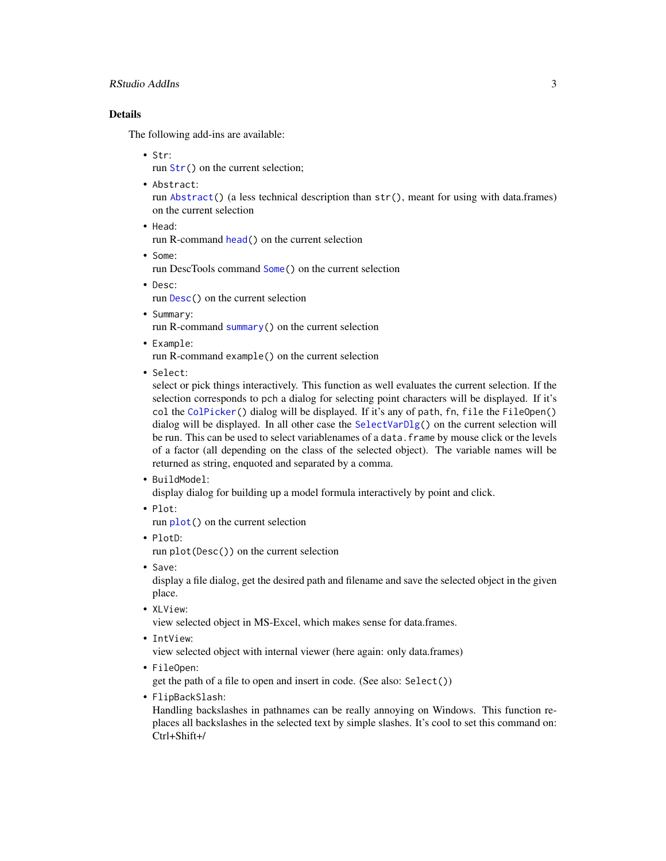#### <span id="page-2-0"></span>RStudio AddIns 3

#### Details

The following add-ins are available:

• Str:

run [Str\(](#page-1-1)) on the current selection;

• Abstract:

run [Abstract\(](#page-1-1)) (a less technical description than str(), meant for using with data.frames) on the current selection

- Head:
	- run R-command [head\(](#page-0-0)) on the current selection
- Some: run DescTools command [Some\(](#page-1-1)) on the current selection
- Desc: run [Desc\(](#page-1-1)) on the current selection
- Summary: run R-command [summary\(](#page-0-0)) on the current selection
- Example:

run R-command example() on the current selection

• Select:

select or pick things interactively. This function as well evaluates the current selection. If the selection corresponds to pch a dialog for selecting point characters will be displayed. If it's col the [ColPicker\(](#page-0-0)) dialog will be displayed. If it's any of path, fn, file the FileOpen() dialog will be displayed. In all other case the [SelectVarDlg\(](#page-0-0)) on the current selection will be run. This can be used to select variablenames of a data. frame by mouse click or the levels of a factor (all depending on the class of the selected object). The variable names will be returned as string, enquoted and separated by a comma.

• BuildModel:

display dialog for building up a model formula interactively by point and click.

• Plot:

run [plot\(](#page-0-0)) on the current selection

• PlotD:

run plot(Desc()) on the current selection

• Save:

display a file dialog, get the desired path and filename and save the selected object in the given place.

- XLView: view selected object in MS-Excel, which makes sense for data.frames.
- IntView:

view selected object with internal viewer (here again: only data.frames)

• FileOpen:

get the path of a file to open and insert in code. (See also: Select())

• FlipBackSlash:

Handling backslashes in pathnames can be really annoying on Windows. This function replaces all backslashes in the selected text by simple slashes. It's cool to set this command on: Ctrl+Shift+/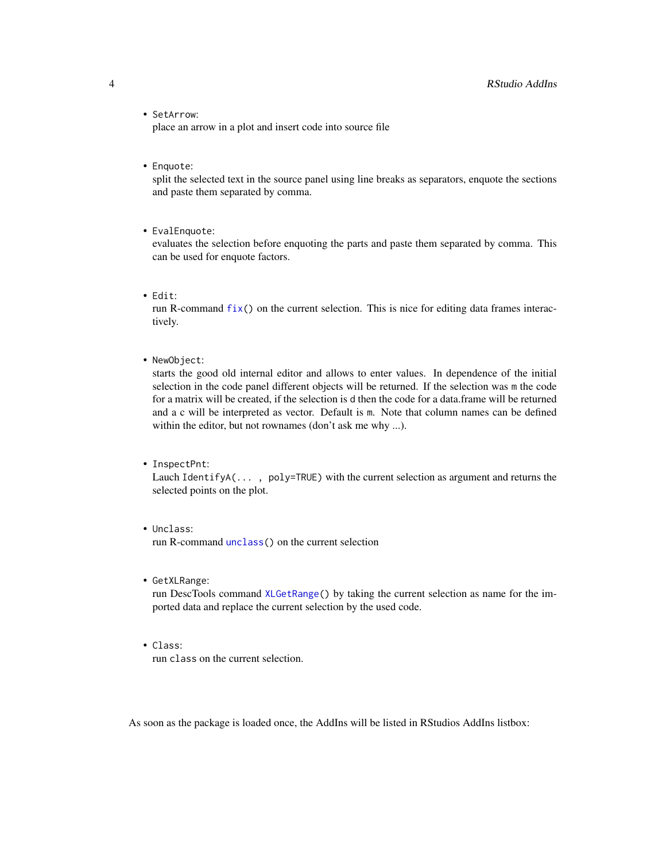• SetArrow:

place an arrow in a plot and insert code into source file

• Enquote:

split the selected text in the source panel using line breaks as separators, enquote the sections and paste them separated by comma.

• EvalEnquote:

evaluates the selection before enquoting the parts and paste them separated by comma. This can be used for enquote factors.

• Edit:

run R-command  $fix()$  $fix()$  on the current selection. This is nice for editing data frames interactively.

• NewObject:

starts the good old internal editor and allows to enter values. In dependence of the initial selection in the code panel different objects will be returned. If the selection was m the code for a matrix will be created, if the selection is d then the code for a data.frame will be returned and a c will be interpreted as vector. Default is m. Note that column names can be defined within the editor, but not rownames (don't ask me why ...).

• InspectPnt:

Lauch IdentifyA(... , poly=TRUE) with the current selection as argument and returns the selected points on the plot.

- Unclass: run R-command [unclass\(](#page-0-0)) on the current selection
- GetXLRange:

run DescTools command [XLGetRange\(](#page-0-0)) by taking the current selection as name for the imported data and replace the current selection by the used code.

• Class: run class on the current selection.

As soon as the package is loaded once, the AddIns will be listed in RStudios AddIns listbox:

<span id="page-3-0"></span>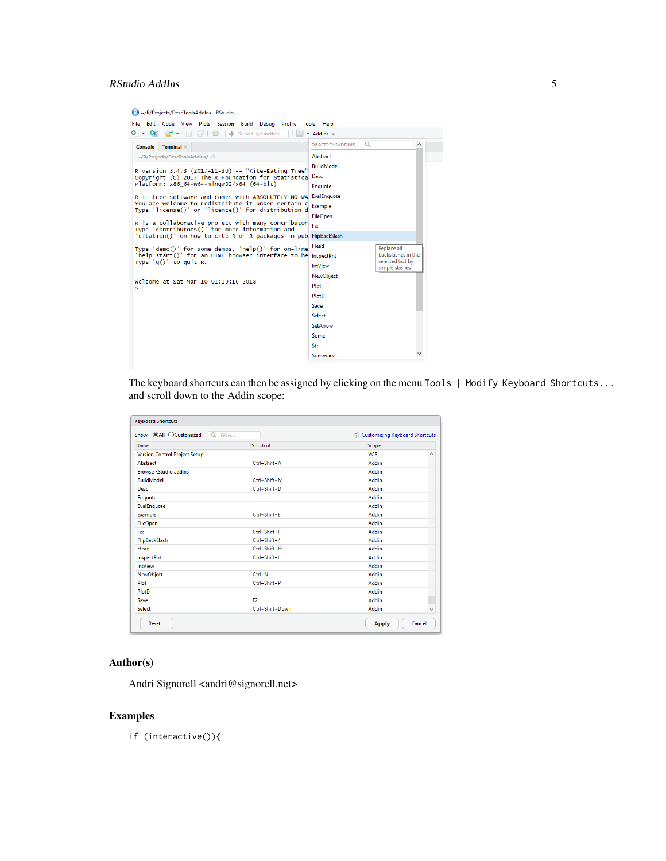## RStudio AddIns 5

R/R/Projects/DescToolsAddIns - RStudio

| File Edit Code View Plots Session Build Debug Profile Tools Help                                         |                                                      |
|----------------------------------------------------------------------------------------------------------|------------------------------------------------------|
| O - OR<br>Go to file/function<br>$\star$                                                                 | * Addins *                                           |
| Terminal ×<br>Console                                                                                    | l Q<br><b>DESCTOOLSADDINS</b><br>$\wedge$            |
| ~/R/Projects/DescToolsAddIns/                                                                            | Abstract                                             |
| R version 3.4.3 (2017-11-30) -- "Kite-Eating Tree"                                                       | <b>BuildModel</b>                                    |
| Copyright (C) 2017 The R Foundation for Statistical                                                      | Desc                                                 |
| Platform: x86_64-w64-mingw32/x64 (64-bit)                                                                | Enquote                                              |
| R is free software and comes with ABSOLUTELY NO WA                                                       | EvalEnquote                                          |
| You are welcome to redistribute it under certain c<br>Type 'license()' or 'licence()' for distribution d | Example                                              |
| R is a collaborative project with many contributor                                                       | <b>FileOpen</b>                                      |
| Type 'contributors()' for more information and                                                           | Fix                                                  |
| 'citation()' on how to cite R or R packages in pub                                                       | FlipBackSlash                                        |
| Type 'demo()' for some demos, 'help()' for on-line                                                       | Head<br>Replace all                                  |
| 'help.start()' for an HTML browser interface to he<br>Type $'q()'$ to quit R.                            | backslashes in the<br>InspectPnt<br>selected text by |
|                                                                                                          | <b>IntView</b><br>simple slashes                     |
| Welcome at Sat Mar 10 01:19:16 2018                                                                      | <b>NewObject</b>                                     |
| ≻                                                                                                        | Plot                                                 |
|                                                                                                          | PlotD                                                |
|                                                                                                          | Save                                                 |
|                                                                                                          | Select                                               |
|                                                                                                          | SetArrow                                             |
|                                                                                                          | Some                                                 |
|                                                                                                          | Str                                                  |
|                                                                                                          | Summary                                              |

The keyboard shortcuts can then be assigned by clicking on the menu Tools | Modify Keyboard Shortcuts... and scroll down to the Addin scope:

| <b>Keyboard Shortcuts</b>                    |                    |                                  |
|----------------------------------------------|--------------------|----------------------------------|
| Show: @All OCustomized<br>$\alpha$<br>Filter |                    | 2 Customizing Keyboard Shortcuts |
| Name                                         | Shortcut           | Scope                            |
| <b>Version Control Project Setup</b>         |                    | <b>VCS</b><br>Α                  |
| Abstract                                     | $Ctrl + Shift + A$ | <b>Addin</b>                     |
| <b>Browse RStudio addins</b>                 |                    | Addin                            |
| <b>BuildModel</b>                            | $Ctrl + Shift + M$ | <b>Addin</b>                     |
| Desc                                         | $Ctrl + Shift + D$ | Addin                            |
| Enquote                                      |                    | <b>Addin</b>                     |
| EvalEnquote                                  |                    | Addin                            |
| Example                                      | $Ctrl + Shift + F$ | Addin                            |
| FileOpen                                     |                    | Addin                            |
| Fix                                          | $Ctrl + Shift + F$ | Addin                            |
| FlipBackSlash                                | $Ctrl + Shift + I$ | Addin                            |
| Head                                         | $Ctrl + Shift + H$ | Addin                            |
| InspectPnt                                   | $Ctrl + Shift + I$ | Addin                            |
| <b>IntView</b>                               |                    | Addin                            |
| NewObject                                    | $Ctrl + N$         | Addin                            |
| Plot                                         | $Ctrl + Shift + P$ | Addin                            |
| PlotD                                        |                    | Addin                            |
| Save                                         | F <sub>2</sub>     | Addin                            |
| Select                                       | Ctrl+Shift+Down    | Addin<br>$\checkmark$            |
| Reset                                        |                    | Cancel<br><b>Apply</b>           |

### Author(s)

Andri Signorell <andri@signorell.net>

### Examples

if (interactive()){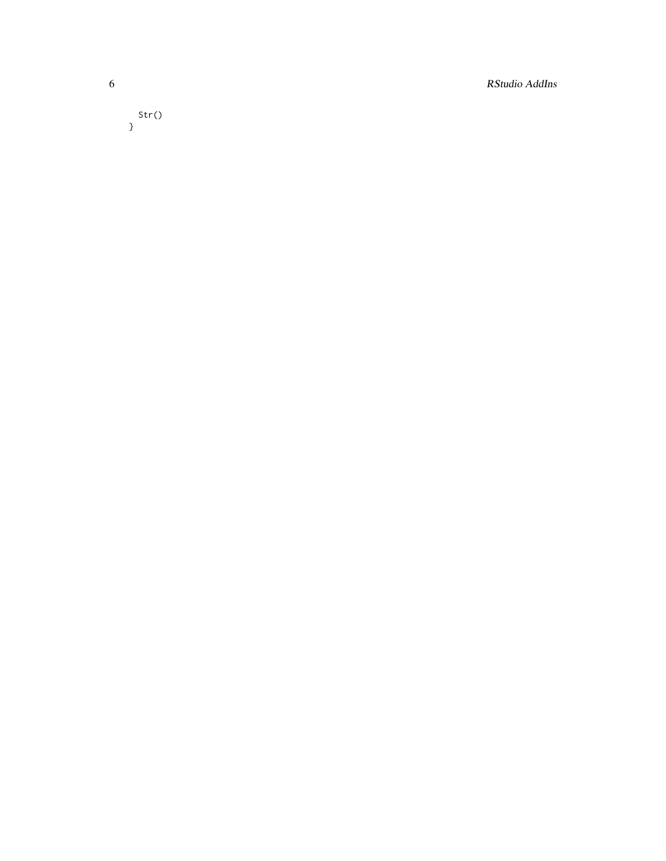6 RStudio AddIns

Str() }